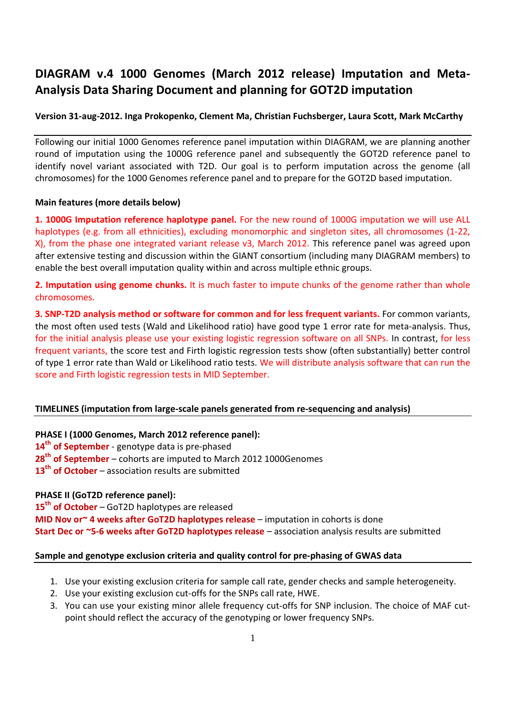# **DIAGRAM v.4 1000 Genomes (March 2012 release) Imputation and Meta-Analysis Data Sharing Document and planning for GOT2D imputation**

## **Version 31-aug-2012. Inga Prokopenko, Clement Ma, Christian Fuchsberger, Laura Scott, Mark McCarthy**

Following our initial 1000 Genomes reference panel imputation within DIAGRAM, we are planning another round of imputation using the 1000G reference panel and subsequently the GOT2D reference panel to identify novel variant associated with T2D. Our goal is to perform imputation across the genome (all chromosomes) for the 1000 Genomes reference panel and to prepare for the GOT2D based imputation.

#### **Main features (more details below)**

**1. 1000G Imputation reference haplotype panel.** For the new round of 1000G imputation we will use ALL haplotypes (e.g. from all ethnicities), excluding monomorphic and singleton sites, all chromosomes (1-22, X), from the phase one integrated variant release v3, March 2012. This reference panel was agreed upon after extensive testing and discussion within the GIANT consortium (including many DIAGRAM members) to enable the best overall imputation quality within and across multiple ethnic groups.

**2. Imputation using genome chunks.** It is much faster to impute chunks of the genome rather than whole chromosomes.

**3. SNP-T2D analysis method or software for common and for less frequent variants.** For common variants, the most often used tests (Wald and Likelihood ratio) have good type 1 error rate for meta-analysis. Thus, for the initial analysis please use your existing logistic regression software on all SNPs. In contrast, for less frequent variants, the score test and Firth logistic regression tests show (often substantially) better control of type 1 error rate than Wald or Likelihood ratio tests. We will distribute analysis software that can run the score and Firth logistic regression tests in MID September.

## **TIMELINES (imputation from large-scale panels generated from re-sequencing and analysis)**

#### **PHASE I (1000 Genomes, March 2012 reference panel):**

**14th of September** - genotype data is pre-phased **28th of September** – cohorts are imputed to March 2012 1000Genomes **13th of October** – association results are submitted

## **PHASE II (GoT2D reference panel):**

**15th of October** – GoT2D haplotypes are released **MID Nov or~ 4 weeks after GoT2D haplotypes release** – imputation in cohorts is done **Start Dec or ~5-6 weeks after GoT2D haplotypes release** – association analysis results are submitted

#### **Sample and genotype exclusion criteria and quality control for pre-phasing of GWAS data**

- 1. Use your existing exclusion criteria for sample call rate, gender checks and sample heterogeneity.
- 2. Use your existing exclusion cut-offs for the SNPs call rate, HWE.
- 3. You can use your existing minor allele frequency cut-offs for SNP inclusion. The choice of MAF cutpoint should reflect the accuracy of the genotyping or lower frequency SNPs.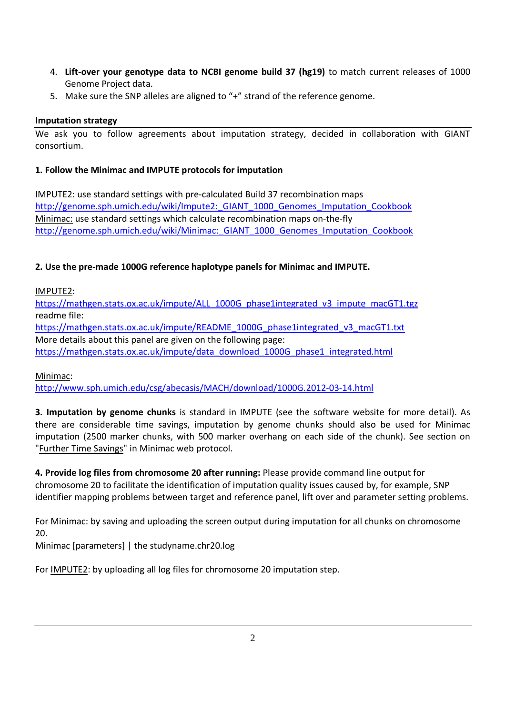- 4. **Lift-over your genotype data to NCBI genome build 37 (hg19)** to match current releases of 1000 Genome Project data.
- 5. Make sure the SNP alleles are aligned to "+" strand of the reference genome.

## **Imputation strategy**

We ask you to follow agreements about imputation strategy, decided in collaboration with GIANT consortium.

## **1. Follow the Minimac and IMPUTE protocols for imputation**

IMPUTE2: use standard settings with pre-calculated Build 37 recombination maps http://genome.sph.umich.edu/wiki/Impute2: GIANT\_1000\_Genomes\_Imputation\_Cookbook Minimac: use standard settings which calculate recombination maps on-the-fly http://genome.sph.umich.edu/wiki/Minimac:\_GIANT\_1000\_Genomes\_Imputation\_Cookbook

# **2. Use the pre-made 1000G reference haplotype panels for Minimac and IMPUTE.**

IMPUTE2:

https://mathgen.stats.ox.ac.uk/impute/ALL\_1000G\_phase1integrated\_v3\_impute\_macGT1.tgz readme file: https://mathgen.stats.ox.ac.uk/impute/README\_1000G\_phase1integrated\_v3\_macGT1.txt

More details about this panel are given on the following page:

https://mathgen.stats.ox.ac.uk/impute/data\_download\_1000G\_phase1\_integrated.html

## Minimac:

http://www.sph.umich.edu/csg/abecasis/MACH/download/1000G.2012-03-14.html

**3. Imputation by genome chunks** is standard in IMPUTE (see the software website for more detail). As there are considerable time savings, imputation by genome chunks should also be used for Minimac imputation (2500 marker chunks, with 500 marker overhang on each side of the chunk). See section on "**Further Time Savings**" in Minimac web protocol.

**4. Provide log files from chromosome 20 after running:** Please provide command line output for chromosome 20 to facilitate the identification of imputation quality issues caused by, for example, SNP identifier mapping problems between target and reference panel, lift over and parameter setting problems.

For Minimac: by saving and uploading the screen output during imputation for all chunks on chromosome 20.

Minimac [parameters] | the studyname.chr20.log

For IMPUTE2: by uploading all log files for chromosome 20 imputation step.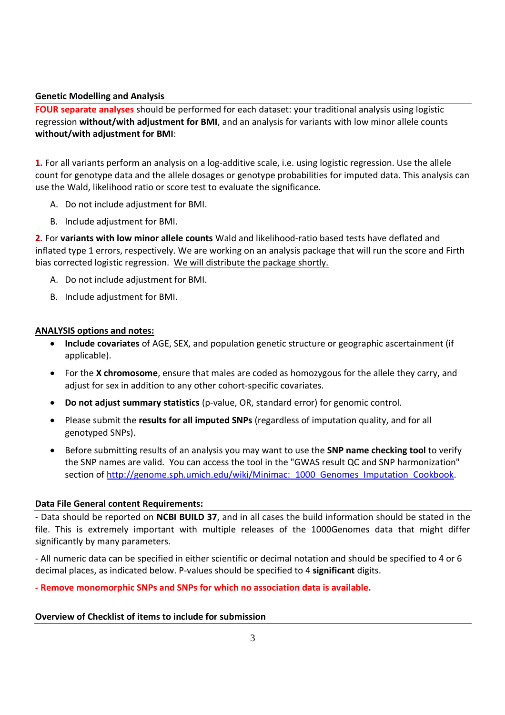#### **Genetic Modelling and Analysis**

**FOUR separate analyses** should be performed for each dataset: your traditional analysis using logistic regression **without/with adjustment for BMI**, and an analysis for variants with low minor allele counts **without/with adjustment for BMI**:

**1.** For all variants perform an analysis on a log-additive scale, i.e. using logistic regression. Use the allele count for genotype data and the allele dosages or genotype probabilities for imputed data. This analysis can use the Wald, likelihood ratio or score test to evaluate the significance.

- A. Do not include adjustment for BMI.
- B. Include adjustment for BMI.

**2.** For **variants with low minor allele counts** Wald and likelihood-ratio based tests have deflated and inflated type 1 errors, respectively. We are working on an analysis package that will run the score and Firth bias corrected logistic regression. We will distribute the package shortly.

- A. Do not include adjustment for BMI.
- B. Include adjustment for BMI.

#### **ANALYSIS options and notes:**

- **Include covariates** of AGE, SEX, and population genetic structure or geographic ascertainment (if applicable).
- For the **X chromosome**, ensure that males are coded as homozygous for the allele they carry, and adjust for sex in addition to any other cohort-specific covariates.
- **Do not adjust summary statistics** (p-value, OR, standard error) for genomic control.
- Please submit the **results for all imputed SNPs** (regardless of imputation quality, and for all genotyped SNPs).
- Before submitting results of an analysis you may want to use the **SNP name checking tool** to verify the SNP names are valid. You can access the tool in the "GWAS result QC and SNP harmonization" section of http://genome.sph.umich.edu/wiki/Minimac:\_1000\_Genomes\_Imputation\_Cookbook.

#### **Data File General content Requirements:**

- Data should be reported on **NCBI BUILD 37**, and in all cases the build information should be stated in the file. This is extremely important with multiple releases of the 1000Genomes data that might differ significantly by many parameters.

- All numeric data can be specified in either scientific or decimal notation and should be specified to 4 or 6 decimal places, as indicated below. P-values should be specified to 4 **significant** digits.

**- Remove monomorphic SNPs and SNPs for which no association data is available.**

#### **Overview of Checklist of items to include for submission**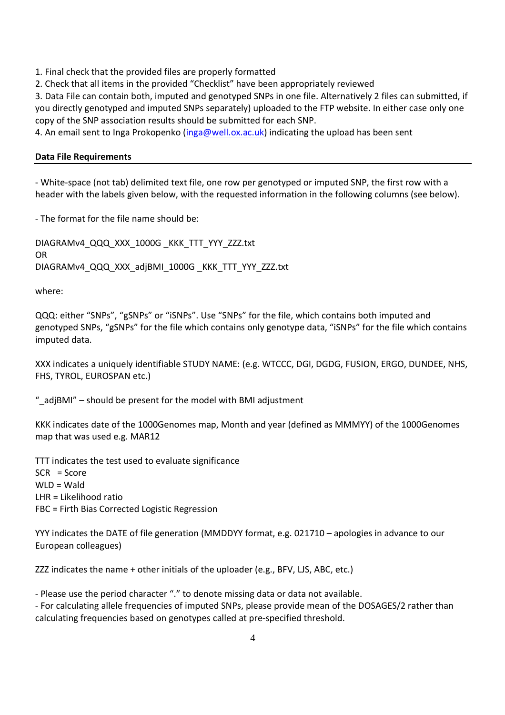1. Final check that the provided files are properly formatted

2. Check that all items in the provided "Checklist" have been appropriately reviewed

3. Data File can contain both, imputed and genotyped SNPs in one file. Alternatively 2 files can submitted, if you directly genotyped and imputed SNPs separately) uploaded to the FTP website. In either case only one copy of the SNP association results should be submitted for each SNP.

4. An email sent to Inga Prokopenko (inga@well.ox.ac.uk) indicating the upload has been sent

#### **Data File Requirements**

- White-space (not tab) delimited text file, one row per genotyped or imputed SNP, the first row with a header with the labels given below, with the requested information in the following columns (see below).

- The format for the file name should be:

DIAGRAMv4\_QQQ\_XXX\_1000G \_KKK\_TTT\_YYY\_ZZZ.txt OR DIAGRAMv4\_QQQ\_XXX\_adjBMI\_1000G\_KKK\_TTT\_YYY\_ZZZ.txt

where:

QQQ: either "SNPs", "gSNPs" or "iSNPs". Use "SNPs" for the file, which contains both imputed and genotyped SNPs, "gSNPs" for the file which contains only genotype data, "iSNPs" for the file which contains imputed data.

XXX indicates a uniquely identifiable STUDY NAME: (e.g. WTCCC, DGI, DGDG, FUSION, ERGO, DUNDEE, NHS, FHS, TYROL, EUROSPAN etc.)

"\_adjBMI" – should be present for the model with BMI adjustment

KKK indicates date of the 1000Genomes map, Month and year (defined as MMMYY) of the 1000Genomes map that was used e.g. MAR12

TTT indicates the test used to evaluate significance SCR = Score  $WLD = Wald$ LHR = Likelihood ratio FBC = Firth Bias Corrected Logistic Regression

YYY indicates the DATE of file generation (MMDDYY format, e.g. 021710 – apologies in advance to our European colleagues)

ZZZ indicates the name + other initials of the uploader (e.g., BFV, LJS, ABC, etc.)

- Please use the period character "." to denote missing data or data not available.

- For calculating allele frequencies of imputed SNPs, please provide mean of the DOSAGES/2 rather than calculating frequencies based on genotypes called at pre-specified threshold.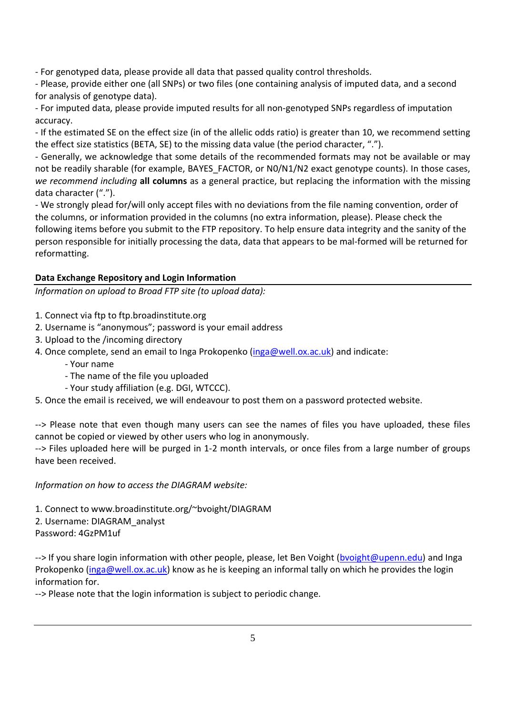- For genotyped data, please provide all data that passed quality control thresholds.

- Please, provide either one (all SNPs) or two files (one containing analysis of imputed data, and a second for analysis of genotype data).

- For imputed data, please provide imputed results for all non-genotyped SNPs regardless of imputation accuracy.

- If the estimated SE on the effect size (in of the allelic odds ratio) is greater than 10, we recommend setting the effect size statistics (BETA, SE) to the missing data value (the period character, ".").

- Generally, we acknowledge that some details of the recommended formats may not be available or may not be readily sharable (for example, BAYES\_FACTOR, or N0/N1/N2 exact genotype counts). In those cases, *we recommend including* **all columns** as a general practice, but replacing the information with the missing data character (".").

- We strongly plead for/will only accept files with no deviations from the file naming convention, order of the columns, or information provided in the columns (no extra information, please). Please check the following items before you submit to the FTP repository. To help ensure data integrity and the sanity of the person responsible for initially processing the data, data that appears to be mal-formed will be returned for reformatting.

# **Data Exchange Repository and Login Information**

*Information on upload to Broad FTP site (to upload data):*

- 1. Connect via ftp to ftp.broadinstitute.org
- 2. Username is "anonymous"; password is your email address
- 3. Upload to the /incoming directory
- 4. Once complete, send an email to Inga Prokopenko (inga@well.ox.ac.uk) and indicate:
	- Your name
	- The name of the file you uploaded
	- Your study affiliation (e.g. DGI, WTCCC).

5. Once the email is received, we will endeavour to post them on a password protected website.

--> Please note that even though many users can see the names of files you have uploaded, these files cannot be copied or viewed by other users who log in anonymously.

--> Files uploaded here will be purged in 1-2 month intervals, or once files from a large number of groups have been received.

*Information on how to access the DIAGRAM website:*

1. Connect to www.broadinstitute.org/~bvoight/DIAGRAM 2. Username: DIAGRAM\_analyst Password: 4GzPM1uf

--> If you share login information with other people, please, let Ben Voight (bvoight@upenn.edu) and Inga Prokopenko (inga@well.ox.ac.uk) know as he is keeping an informal tally on which he provides the login information for.

--> Please note that the login information is subject to periodic change.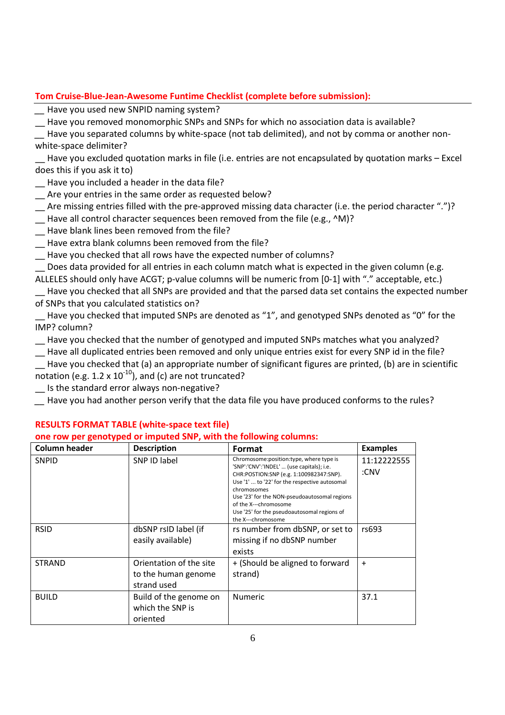## **Tom Cruise-Blue-Jean-Awesome Funtime Checklist (complete before submission):**

Have you used new SNPID naming system?

\_\_ Have you removed monomorphic SNPs and SNPs for which no association data is available?

Have you separated columns by white-space (not tab delimited), and not by comma or another nonwhite-space delimiter?

Have you excluded quotation marks in file (i.e. entries are not encapsulated by quotation marks – Excel does this if you ask it to)

Have you included a header in the data file?

\_\_ Are your entries in the same order as requested below?

- Are missing entries filled with the pre-approved missing data character (i.e. the period character ".")?
- \_\_ Have all control character sequences been removed from the file (e.g., ^M)?
- \_\_ Have blank lines been removed from the file?
- \_\_ Have extra blank columns been removed from the file?
- \_\_ Have you checked that all rows have the expected number of columns?

Does data provided for all entries in each column match what is expected in the given column (e.g.

ALLELES should only have ACGT; p-value columns will be numeric from [0-1] with "." acceptable, etc.) Have you checked that all SNPs are provided and that the parsed data set contains the expected number of SNPs that you calculated statistics on?

Have you checked that imputed SNPs are denoted as "1", and genotyped SNPs denoted as "0" for the IMP? column?

\_\_ Have you checked that the number of genotyped and imputed SNPs matches what you analyzed?

\_\_ Have all duplicated entries been removed and only unique entries exist for every SNP id in the file?

\_\_ Have you checked that (a) an appropriate number of significant figures are printed, (b) are in scientific notation (e.g.  $1.2 \times 10^{-10}$ ), and (c) are not truncated?

\_\_ Is the standard error always non-negative?

*\_\_* Have you had another person verify that the data file you have produced conforms to the rules?

| <b>Column header</b> | <b>Description</b>                                            | Format                                                                                                                                                                                                                                                                                                                                        | <b>Examples</b>     |
|----------------------|---------------------------------------------------------------|-----------------------------------------------------------------------------------------------------------------------------------------------------------------------------------------------------------------------------------------------------------------------------------------------------------------------------------------------|---------------------|
| <b>SNPID</b>         | SNP ID label                                                  | Chromosome:position:type, where type is<br>'SNP':'CNV':'INDEL'  (use capitals); i.e.<br>CHR:POSTION:SNP (e.g. 1:100982347:SNP).<br>Use '1'  to '22' for the respective autosomal<br>chromosomes<br>Use '23' for the NON-pseudoautosomal regions<br>of the X---chromosome<br>Use '25' for the pseudoautosomal regions of<br>the X---chromosome | 11:12222555<br>:CNV |
| <b>RSID</b>          | dbSNP rsID label (if<br>easily available)                     | rs number from dbSNP, or set to<br>missing if no dbSNP number<br>exists                                                                                                                                                                                                                                                                       | rs693               |
| <b>STRAND</b>        | Orientation of the site<br>to the human genome<br>strand used | + (Should be aligned to forward<br>strand)                                                                                                                                                                                                                                                                                                    | $+$                 |
| <b>BUILD</b>         | Build of the genome on<br>which the SNP is<br>oriented        | <b>Numeric</b>                                                                                                                                                                                                                                                                                                                                | 37.1                |

## **RESULTS FORMAT TABLE (white-space text file)**

**one row per genotyped or imputed SNP, with the following columns:**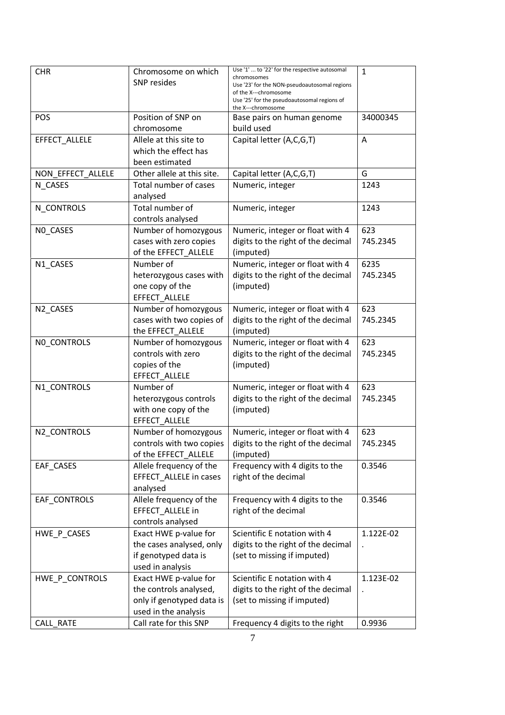| <b>CHR</b>        | Chromosome on which<br><b>SNP</b> resides      | Use '1'  to '22' for the respective autosomal<br>chromosomes<br>Use '23' for the NON-pseudoautosomal regions<br>of the X---chromosome<br>Use '25' for the pseudoautosomal regions of<br>the X---chromosome | $\mathbf{1}$         |
|-------------------|------------------------------------------------|------------------------------------------------------------------------------------------------------------------------------------------------------------------------------------------------------------|----------------------|
| POS               | Position of SNP on                             | Base pairs on human genome                                                                                                                                                                                 | 34000345             |
|                   | chromosome                                     | build used                                                                                                                                                                                                 |                      |
| EFFECT_ALLELE     | Allele at this site to<br>which the effect has | Capital letter (A,C,G,T)                                                                                                                                                                                   | A                    |
| NON_EFFECT_ALLELE | been estimated<br>Other allele at this site.   |                                                                                                                                                                                                            | G                    |
|                   |                                                | Capital letter (A,C,G,T)                                                                                                                                                                                   |                      |
| N CASES           | Total number of cases<br>analysed              | Numeric, integer                                                                                                                                                                                           | 1243                 |
| N_CONTROLS        | Total number of<br>controls analysed           | Numeric, integer                                                                                                                                                                                           | 1243                 |
| NO_CASES          | Number of homozygous                           | Numeric, integer or float with 4                                                                                                                                                                           | 623                  |
|                   | cases with zero copies                         | digits to the right of the decimal                                                                                                                                                                         | 745.2345             |
|                   | of the EFFECT_ALLELE                           | (imputed)                                                                                                                                                                                                  |                      |
| N1_CASES          | Number of                                      | Numeric, integer or float with 4                                                                                                                                                                           | 6235                 |
|                   | heterozygous cases with                        | digits to the right of the decimal                                                                                                                                                                         | 745.2345             |
|                   | one copy of the                                | (imputed)                                                                                                                                                                                                  |                      |
|                   | EFFECT ALLELE                                  |                                                                                                                                                                                                            |                      |
| N2_CASES          | Number of homozygous                           | Numeric, integer or float with 4                                                                                                                                                                           | 623                  |
|                   | cases with two copies of                       | digits to the right of the decimal                                                                                                                                                                         | 745.2345             |
|                   | the EFFECT_ALLELE                              | (imputed)                                                                                                                                                                                                  |                      |
| NO_CONTROLS       | Number of homozygous                           | Numeric, integer or float with 4                                                                                                                                                                           | 623                  |
|                   | controls with zero                             | digits to the right of the decimal                                                                                                                                                                         | 745.2345             |
|                   | copies of the                                  | (imputed)                                                                                                                                                                                                  |                      |
|                   | EFFECT_ALLELE                                  |                                                                                                                                                                                                            |                      |
| N1_CONTROLS       | Number of                                      | Numeric, integer or float with 4                                                                                                                                                                           | 623                  |
|                   | heterozygous controls                          | digits to the right of the decimal                                                                                                                                                                         | 745.2345             |
|                   | with one copy of the<br>EFFECT_ALLELE          | (imputed)                                                                                                                                                                                                  |                      |
| N2_CONTROLS       | Number of homozygous                           | Numeric, integer or float with 4                                                                                                                                                                           | 623                  |
|                   | controls with two copies                       | digits to the right of the decimal                                                                                                                                                                         | 745.2345             |
|                   | of the EFFECT_ALLELE                           | (imputed)                                                                                                                                                                                                  |                      |
| EAF_CASES         | Allele frequency of the                        | Frequency with 4 digits to the                                                                                                                                                                             | 0.3546               |
|                   | EFFECT_ALLELE in cases                         | right of the decimal                                                                                                                                                                                       |                      |
|                   | analysed                                       |                                                                                                                                                                                                            |                      |
| EAF CONTROLS      | Allele frequency of the                        | Frequency with 4 digits to the                                                                                                                                                                             | 0.3546               |
|                   | EFFECT_ALLELE in                               | right of the decimal                                                                                                                                                                                       |                      |
|                   | controls analysed                              |                                                                                                                                                                                                            |                      |
| HWE_P_CASES       | Exact HWE p-value for                          | Scientific E notation with 4                                                                                                                                                                               | 1.122E-02            |
|                   | the cases analysed, only                       | digits to the right of the decimal                                                                                                                                                                         |                      |
|                   | if genotyped data is                           | (set to missing if imputed)                                                                                                                                                                                |                      |
|                   | used in analysis                               |                                                                                                                                                                                                            |                      |
| HWE_P_CONTROLS    | Exact HWE p-value for                          | Scientific E notation with 4                                                                                                                                                                               | 1.123E-02            |
|                   | the controls analysed,                         | digits to the right of the decimal                                                                                                                                                                         | $\ddot{\phantom{a}}$ |
|                   | only if genotyped data is                      | (set to missing if imputed)                                                                                                                                                                                |                      |
|                   | used in the analysis                           |                                                                                                                                                                                                            |                      |
| CALL_RATE         | Call rate for this SNP                         | Frequency 4 digits to the right                                                                                                                                                                            | 0.9936               |